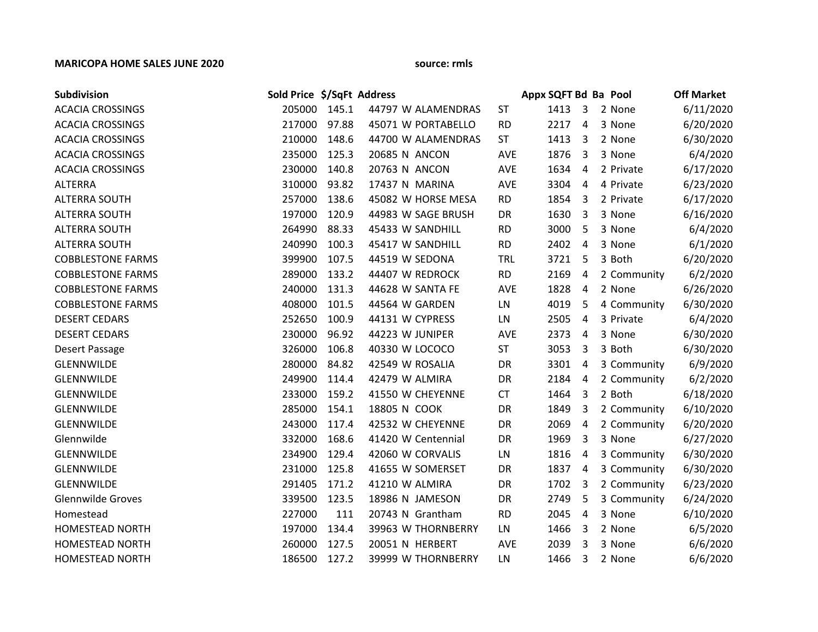## **MARICOPA HOME SALES JUNE 2020 source: rmls**

| Subdivision              | Sold Price \$/SqFt Address |       |                    |            | Appx SQFT Bd Ba Pool |                |             | <b>Off Market</b> |
|--------------------------|----------------------------|-------|--------------------|------------|----------------------|----------------|-------------|-------------------|
| <b>ACACIA CROSSINGS</b>  | 205000 145.1               |       | 44797 W ALAMENDRAS | <b>ST</b>  | 1413                 | $\overline{3}$ | 2 None      | 6/11/2020         |
| <b>ACACIA CROSSINGS</b>  | 217000                     | 97.88 | 45071 W PORTABELLO | <b>RD</b>  | 2217                 | $\overline{a}$ | 3 None      | 6/20/2020         |
| <b>ACACIA CROSSINGS</b>  | 210000                     | 148.6 | 44700 W ALAMENDRAS | <b>ST</b>  | 1413                 | 3              | 2 None      | 6/30/2020         |
| <b>ACACIA CROSSINGS</b>  | 235000                     | 125.3 | 20685 N ANCON      | <b>AVE</b> | 1876                 | 3              | 3 None      | 6/4/2020          |
| <b>ACACIA CROSSINGS</b>  | 230000                     | 140.8 | 20763 N ANCON      | <b>AVE</b> | 1634                 | $\overline{4}$ | 2 Private   | 6/17/2020         |
| <b>ALTERRA</b>           | 310000                     | 93.82 | 17437 N MARINA     | AVE        | 3304                 | $\overline{4}$ | 4 Private   | 6/23/2020         |
| <b>ALTERRA SOUTH</b>     | 257000                     | 138.6 | 45082 W HORSE MESA | <b>RD</b>  | 1854                 | 3              | 2 Private   | 6/17/2020         |
| <b>ALTERRA SOUTH</b>     | 197000                     | 120.9 | 44983 W SAGE BRUSH | DR         | 1630                 | 3              | 3 None      | 6/16/2020         |
| <b>ALTERRA SOUTH</b>     | 264990                     | 88.33 | 45433 W SANDHILL   | <b>RD</b>  | 3000                 | 5              | 3 None      | 6/4/2020          |
| <b>ALTERRA SOUTH</b>     | 240990                     | 100.3 | 45417 W SANDHILL   | <b>RD</b>  | 2402                 | 4              | 3 None      | 6/1/2020          |
| <b>COBBLESTONE FARMS</b> | 399900                     | 107.5 | 44519 W SEDONA     | <b>TRL</b> | 3721                 | 5              | 3 Both      | 6/20/2020         |
| <b>COBBLESTONE FARMS</b> | 289000                     | 133.2 | 44407 W REDROCK    | <b>RD</b>  | 2169                 | 4              | 2 Community | 6/2/2020          |
| <b>COBBLESTONE FARMS</b> | 240000                     | 131.3 | 44628 W SANTA FE   | <b>AVE</b> | 1828                 | 4              | 2 None      | 6/26/2020         |
| <b>COBBLESTONE FARMS</b> | 408000                     | 101.5 | 44564 W GARDEN     | LN         | 4019                 | 5              | 4 Community | 6/30/2020         |
| <b>DESERT CEDARS</b>     | 252650                     | 100.9 | 44131 W CYPRESS    | LN         | 2505                 | 4              | 3 Private   | 6/4/2020          |
| <b>DESERT CEDARS</b>     | 230000                     | 96.92 | 44223 W JUNIPER    | <b>AVE</b> | 2373                 | 4              | 3 None      | 6/30/2020         |
| Desert Passage           | 326000                     | 106.8 | 40330 W LOCOCO     | <b>ST</b>  | 3053                 | 3              | 3 Both      | 6/30/2020         |
| GLENNWILDE               | 280000                     | 84.82 | 42549 W ROSALIA    | DR         | 3301                 | $\overline{4}$ | 3 Community | 6/9/2020          |
| <b>GLENNWILDE</b>        | 249900                     | 114.4 | 42479 W ALMIRA     | DR         | 2184                 | $\overline{4}$ | 2 Community | 6/2/2020          |
| GLENNWILDE               | 233000                     | 159.2 | 41550 W CHEYENNE   | <b>CT</b>  | 1464                 | 3              | 2 Both      | 6/18/2020         |
| GLENNWILDE               | 285000                     | 154.1 | 18805 N COOK       | <b>DR</b>  | 1849                 | 3              | 2 Community | 6/10/2020         |
| <b>GLENNWILDE</b>        | 243000                     | 117.4 | 42532 W CHEYENNE   | DR         | 2069                 | $\overline{4}$ | 2 Community | 6/20/2020         |
| Glennwilde               | 332000                     | 168.6 | 41420 W Centennial | DR         | 1969                 | 3              | 3 None      | 6/27/2020         |
| GLENNWILDE               | 234900                     | 129.4 | 42060 W CORVALIS   | LN         | 1816                 | 4              | 3 Community | 6/30/2020         |
| <b>GLENNWILDE</b>        | 231000                     | 125.8 | 41655 W SOMERSET   | DR         | 1837                 | $\overline{4}$ | 3 Community | 6/30/2020         |
| GLENNWILDE               | 291405                     | 171.2 | 41210 W ALMIRA     | DR         | 1702                 | 3              | 2 Community | 6/23/2020         |
| <b>Glennwilde Groves</b> | 339500                     | 123.5 | 18986 N JAMESON    | DR         | 2749                 | 5              | 3 Community | 6/24/2020         |
| Homestead                | 227000                     | 111   | 20743 N Grantham   | <b>RD</b>  | 2045                 | $\overline{4}$ | 3 None      | 6/10/2020         |
| HOMESTEAD NORTH          | 197000                     | 134.4 | 39963 W THORNBERRY | LN         | 1466                 | 3              | 2 None      | 6/5/2020          |
| <b>HOMESTEAD NORTH</b>   | 260000                     | 127.5 | 20051 N HERBERT    | <b>AVE</b> | 2039                 | 3              | 3 None      | 6/6/2020          |
| <b>HOMESTEAD NORTH</b>   | 186500                     | 127.2 | 39999 W THORNBERRY | LN         | 1466                 | 3              | 2 None      | 6/6/2020          |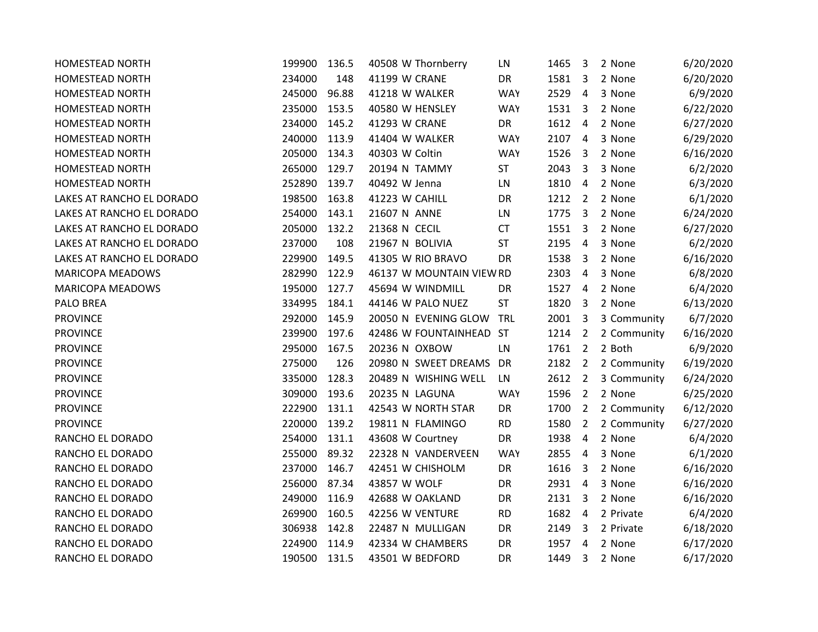| <b>HOMESTEAD NORTH</b>    | 199900 | 136.5 | 40508 W Thornberry       | LN         | 1465 | 3              | 2 None      | 6/20/2020 |
|---------------------------|--------|-------|--------------------------|------------|------|----------------|-------------|-----------|
| <b>HOMESTEAD NORTH</b>    | 234000 | 148   | 41199 W CRANE            | DR         | 1581 | 3              | 2 None      | 6/20/2020 |
| <b>HOMESTEAD NORTH</b>    | 245000 | 96.88 | 41218 W WALKER           | <b>WAY</b> | 2529 | 4              | 3 None      | 6/9/2020  |
| <b>HOMESTEAD NORTH</b>    | 235000 | 153.5 | 40580 W HENSLEY          | <b>WAY</b> | 1531 | 3              | 2 None      | 6/22/2020 |
| HOMESTEAD NORTH           | 234000 | 145.2 | 41293 W CRANE            | DR         | 1612 | $\overline{4}$ | 2 None      | 6/27/2020 |
| <b>HOMESTEAD NORTH</b>    | 240000 | 113.9 | 41404 W WALKER           | <b>WAY</b> | 2107 | $\overline{4}$ | 3 None      | 6/29/2020 |
| HOMESTEAD NORTH           | 205000 | 134.3 | 40303 W Coltin           | <b>WAY</b> | 1526 | $\overline{3}$ | 2 None      | 6/16/2020 |
| <b>HOMESTEAD NORTH</b>    | 265000 | 129.7 | 20194 N TAMMY            | ST         | 2043 | 3              | 3 None      | 6/2/2020  |
| <b>HOMESTEAD NORTH</b>    | 252890 | 139.7 | 40492 W Jenna            | LN         | 1810 | $\overline{4}$ | 2 None      | 6/3/2020  |
| LAKES AT RANCHO EL DORADO | 198500 | 163.8 | 41223 W CAHILL           | DR         | 1212 | $\overline{2}$ | 2 None      | 6/1/2020  |
| LAKES AT RANCHO EL DORADO | 254000 | 143.1 | 21607 N ANNE             | LN         | 1775 | 3              | 2 None      | 6/24/2020 |
| LAKES AT RANCHO EL DORADO | 205000 | 132.2 | 21368 N CECIL            | <b>CT</b>  | 1551 | $\overline{3}$ | 2 None      | 6/27/2020 |
| LAKES AT RANCHO EL DORADO | 237000 | 108   | 21967 N BOLIVIA          | ST         | 2195 | 4              | 3 None      | 6/2/2020  |
| LAKES AT RANCHO EL DORADO | 229900 | 149.5 | 41305 W RIO BRAVO        | <b>DR</b>  | 1538 | 3              | 2 None      | 6/16/2020 |
| <b>MARICOPA MEADOWS</b>   | 282990 | 122.9 | 46137 W MOUNTAIN VIEW RD |            | 2303 | $\overline{4}$ | 3 None      | 6/8/2020  |
| MARICOPA MEADOWS          | 195000 | 127.7 | 45694 W WINDMILL         | DR         | 1527 | $\overline{4}$ | 2 None      | 6/4/2020  |
| <b>PALO BREA</b>          | 334995 | 184.1 | 44146 W PALO NUEZ        | <b>ST</b>  | 1820 | 3              | 2 None      | 6/13/2020 |
| <b>PROVINCE</b>           | 292000 | 145.9 | 20050 N EVENING GLOW     | <b>TRL</b> | 2001 | 3              | 3 Community | 6/7/2020  |
| <b>PROVINCE</b>           | 239900 | 197.6 | 42486 W FOUNTAINHEAD ST  |            | 1214 | $\overline{2}$ | 2 Community | 6/16/2020 |
| <b>PROVINCE</b>           | 295000 | 167.5 | 20236 N OXBOW            | LN         | 1761 | $\overline{2}$ | 2 Both      | 6/9/2020  |
| <b>PROVINCE</b>           | 275000 | 126   | 20980 N SWEET DREAMS     | DR         | 2182 | $\overline{2}$ | 2 Community | 6/19/2020 |
| <b>PROVINCE</b>           | 335000 | 128.3 | 20489 N WISHING WELL     | LN         | 2612 | $\overline{2}$ | 3 Community | 6/24/2020 |
| <b>PROVINCE</b>           | 309000 | 193.6 | 20235 N LAGUNA           | <b>WAY</b> | 1596 | $\overline{2}$ | 2 None      | 6/25/2020 |
| <b>PROVINCE</b>           | 222900 | 131.1 | 42543 W NORTH STAR       | DR         | 1700 | $\overline{2}$ | 2 Community | 6/12/2020 |
| <b>PROVINCE</b>           | 220000 | 139.2 | 19811 N FLAMINGO         | <b>RD</b>  | 1580 | 2              | 2 Community | 6/27/2020 |
| RANCHO EL DORADO          | 254000 | 131.1 | 43608 W Courtney         | <b>DR</b>  | 1938 | 4              | 2 None      | 6/4/2020  |
| RANCHO EL DORADO          | 255000 | 89.32 | 22328 N VANDERVEEN       | <b>WAY</b> | 2855 | 4              | 3 None      | 6/1/2020  |
| RANCHO EL DORADO          | 237000 | 146.7 | 42451 W CHISHOLM         | DR         | 1616 | 3              | 2 None      | 6/16/2020 |
| RANCHO EL DORADO          | 256000 | 87.34 | 43857 W WOLF             | DR         | 2931 | $\overline{4}$ | 3 None      | 6/16/2020 |
| RANCHO EL DORADO          | 249000 | 116.9 | 42688 W OAKLAND          | DR         | 2131 | 3              | 2 None      | 6/16/2020 |
| RANCHO EL DORADO          | 269900 | 160.5 | 42256 W VENTURE          | <b>RD</b>  | 1682 | $\overline{4}$ | 2 Private   | 6/4/2020  |
| RANCHO EL DORADO          | 306938 | 142.8 | 22487 N MULLIGAN         | DR         | 2149 | 3              | 2 Private   | 6/18/2020 |
| RANCHO EL DORADO          | 224900 | 114.9 | 42334 W CHAMBERS         | <b>DR</b>  | 1957 | $\overline{4}$ | 2 None      | 6/17/2020 |
| RANCHO EL DORADO          | 190500 | 131.5 | 43501 W BEDFORD          | <b>DR</b>  | 1449 | 3              | 2 None      | 6/17/2020 |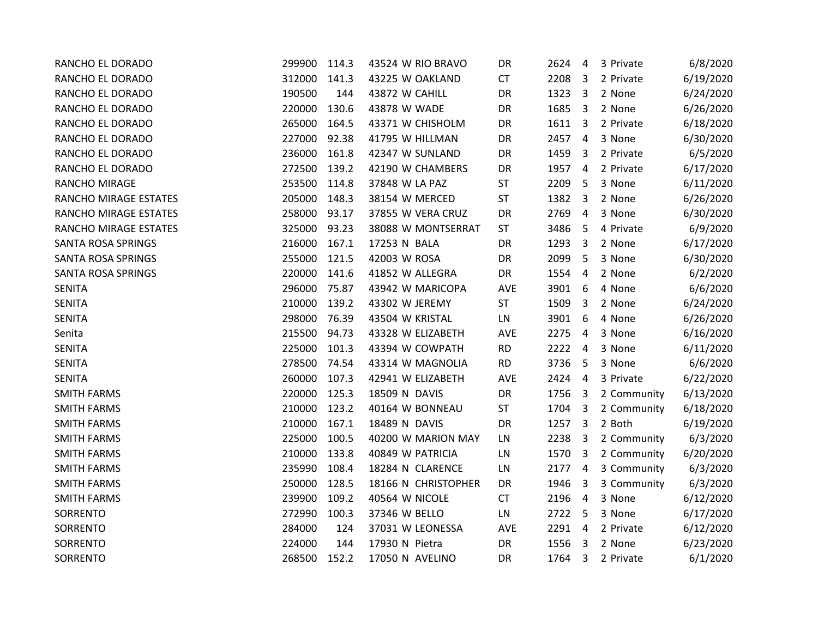| RANCHO EL DORADO      | 299900 | 114.3 | 43524 W RIO BRAVO   | DR        | 2624 | 4              | 3 Private   | 6/8/2020  |
|-----------------------|--------|-------|---------------------|-----------|------|----------------|-------------|-----------|
| RANCHO EL DORADO      | 312000 | 141.3 | 43225 W OAKLAND     | <b>CT</b> | 2208 | 3              | 2 Private   | 6/19/2020 |
| RANCHO EL DORADO      | 190500 | 144   | 43872 W CAHILL      | DR        | 1323 | 3              | 2 None      | 6/24/2020 |
| RANCHO EL DORADO      | 220000 | 130.6 | 43878 W WADE        | DR        | 1685 | 3              | 2 None      | 6/26/2020 |
| RANCHO EL DORADO      | 265000 | 164.5 | 43371 W CHISHOLM    | DR        | 1611 | $\overline{3}$ | 2 Private   | 6/18/2020 |
| RANCHO EL DORADO      | 227000 | 92.38 | 41795 W HILLMAN     | DR        | 2457 | $\overline{4}$ | 3 None      | 6/30/2020 |
| RANCHO EL DORADO      | 236000 | 161.8 | 42347 W SUNLAND     | DR        | 1459 | 3              | 2 Private   | 6/5/2020  |
| RANCHO EL DORADO      | 272500 | 139.2 | 42190 W CHAMBERS    | DR        | 1957 | 4              | 2 Private   | 6/17/2020 |
| RANCHO MIRAGE         | 253500 | 114.8 | 37848 W LA PAZ      | <b>ST</b> | 2209 | 5              | 3 None      | 6/11/2020 |
| RANCHO MIRAGE ESTATES | 205000 | 148.3 | 38154 W MERCED      | ST        | 1382 | $\overline{3}$ | 2 None      | 6/26/2020 |
| RANCHO MIRAGE ESTATES | 258000 | 93.17 | 37855 W VERA CRUZ   | DR        | 2769 | $\overline{4}$ | 3 None      | 6/30/2020 |
| RANCHO MIRAGE ESTATES | 325000 | 93.23 | 38088 W MONTSERRAT  | <b>ST</b> | 3486 | -5             | 4 Private   | 6/9/2020  |
| SANTA ROSA SPRINGS    | 216000 | 167.1 | 17253 N BALA        | DR        | 1293 | 3              | 2 None      | 6/17/2020 |
| SANTA ROSA SPRINGS    | 255000 | 121.5 | 42003 W ROSA        | DR        | 2099 | 5              | 3 None      | 6/30/2020 |
| SANTA ROSA SPRINGS    | 220000 | 141.6 | 41852 W ALLEGRA     | DR        | 1554 | $\overline{4}$ | 2 None      | 6/2/2020  |
| <b>SENITA</b>         | 296000 | 75.87 | 43942 W MARICOPA    | AVE       | 3901 | 6              | 4 None      | 6/6/2020  |
| <b>SENITA</b>         | 210000 | 139.2 | 43302 W JEREMY      | <b>ST</b> | 1509 | 3              | 2 None      | 6/24/2020 |
| <b>SENITA</b>         | 298000 | 76.39 | 43504 W KRISTAL     | LN        | 3901 | 6              | 4 None      | 6/26/2020 |
| Senita                | 215500 | 94.73 | 43328 W ELIZABETH   | AVE       | 2275 | $\overline{4}$ | 3 None      | 6/16/2020 |
| <b>SENITA</b>         | 225000 | 101.3 | 43394 W COWPATH     | <b>RD</b> | 2222 | $\overline{4}$ | 3 None      | 6/11/2020 |
| <b>SENITA</b>         | 278500 | 74.54 | 43314 W MAGNOLIA    | <b>RD</b> | 3736 | 5              | 3 None      | 6/6/2020  |
| <b>SENITA</b>         | 260000 | 107.3 | 42941 W ELIZABETH   | AVE       | 2424 | $\overline{4}$ | 3 Private   | 6/22/2020 |
| <b>SMITH FARMS</b>    | 220000 | 125.3 | 18509 N DAVIS       | DR        | 1756 | $\overline{3}$ | 2 Community | 6/13/2020 |
| <b>SMITH FARMS</b>    | 210000 | 123.2 | 40164 W BONNEAU     | <b>ST</b> | 1704 | $\overline{3}$ | 2 Community | 6/18/2020 |
| <b>SMITH FARMS</b>    | 210000 | 167.1 | 18489 N DAVIS       | DR        | 1257 | 3              | 2 Both      | 6/19/2020 |
| <b>SMITH FARMS</b>    | 225000 | 100.5 | 40200 W MARION MAY  | LN        | 2238 | 3              | 2 Community | 6/3/2020  |
| <b>SMITH FARMS</b>    | 210000 | 133.8 | 40849 W PATRICIA    | LN        | 1570 | 3              | 2 Community | 6/20/2020 |
| <b>SMITH FARMS</b>    | 235990 | 108.4 | 18284 N CLARENCE    | LN        | 2177 | $\overline{4}$ | 3 Community | 6/3/2020  |
| <b>SMITH FARMS</b>    | 250000 | 128.5 | 18166 N CHRISTOPHER | DR        | 1946 | $\overline{3}$ | 3 Community | 6/3/2020  |
| <b>SMITH FARMS</b>    | 239900 | 109.2 | 40564 W NICOLE      | CT        | 2196 | $\overline{4}$ | 3 None      | 6/12/2020 |
| SORRENTO              | 272990 | 100.3 | 37346 W BELLO       | LN        | 2722 | 5              | 3 None      | 6/17/2020 |
| SORRENTO              | 284000 | 124   | 37031 W LEONESSA    | AVE       | 2291 | $\overline{4}$ | 2 Private   | 6/12/2020 |
| SORRENTO              | 224000 | 144   | 17930 N Pietra      | DR        | 1556 | $\overline{3}$ | 2 None      | 6/23/2020 |
| SORRENTO              | 268500 | 152.2 | 17050 N AVELINO     | DR        | 1764 | 3              | 2 Private   | 6/1/2020  |